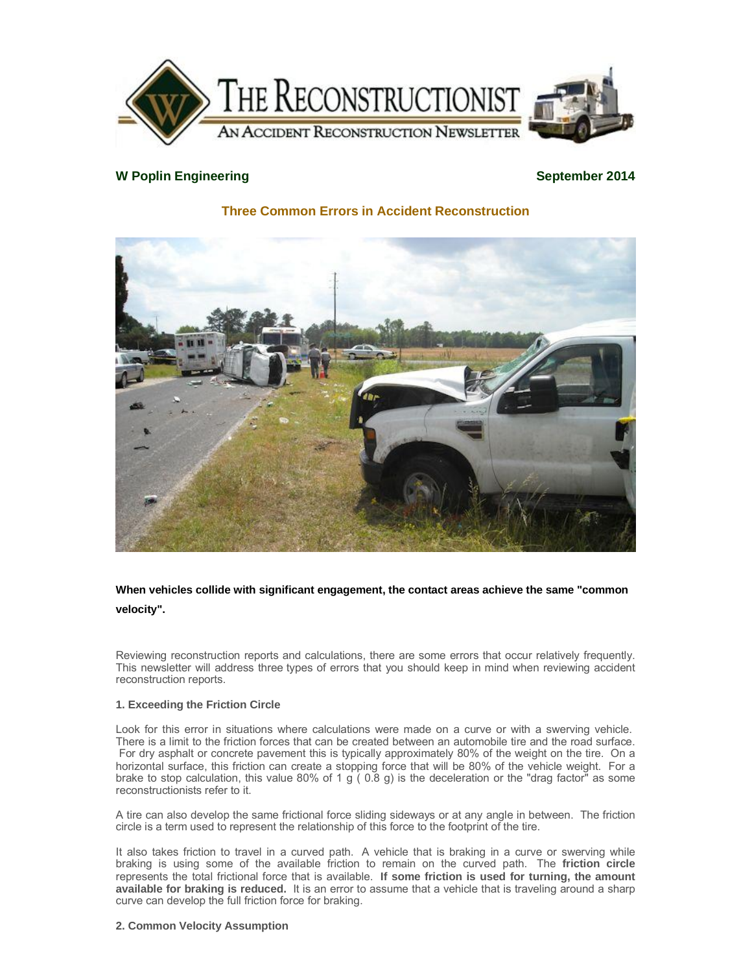

## **W** Poplin Engineering **September 2014**

# **Three Common Errors in Accident Reconstruction**



## **When vehicles collide with significant engagement, the contact areas achieve the same "common velocity".**

Reviewing reconstruction reports and calculations, there are some errors that occur relatively frequently. This newsletter will address three types of errors that you should keep in mind when reviewing accident reconstruction reports.

## **1. Exceeding the Friction Circle**

Look for this error in situations where calculations were made on a curve or with a swerving vehicle. There is a limit to the friction forces that can be created between an automobile tire and the road surface. For dry asphalt or concrete pavement this is typically approximately 80% of the weight on the tire. On a horizontal surface, this friction can create a stopping force that will be 80% of the vehicle weight. For a brake to stop calculation, this value 80% of 1 g ( $0.8$  g) is the deceleration or the "drag factor" as some reconstructionists refer to it.

A tire can also develop the same frictional force sliding sideways or at any angle in between. The friction circle is a term used to represent the relationship of this force to the footprint of the tire.

It also takes friction to travel in a curved path. A vehicle that is braking in a curve or swerving while braking is using some of the available friction to remain on the curved path. The **friction circle** represents the total frictional force that is available. **If some friction is used for turning, the amount available for braking is reduced.** It is an error to assume that a vehicle that is traveling around a sharp curve can develop the full friction force for braking.

## **2. Common Velocity Assumption**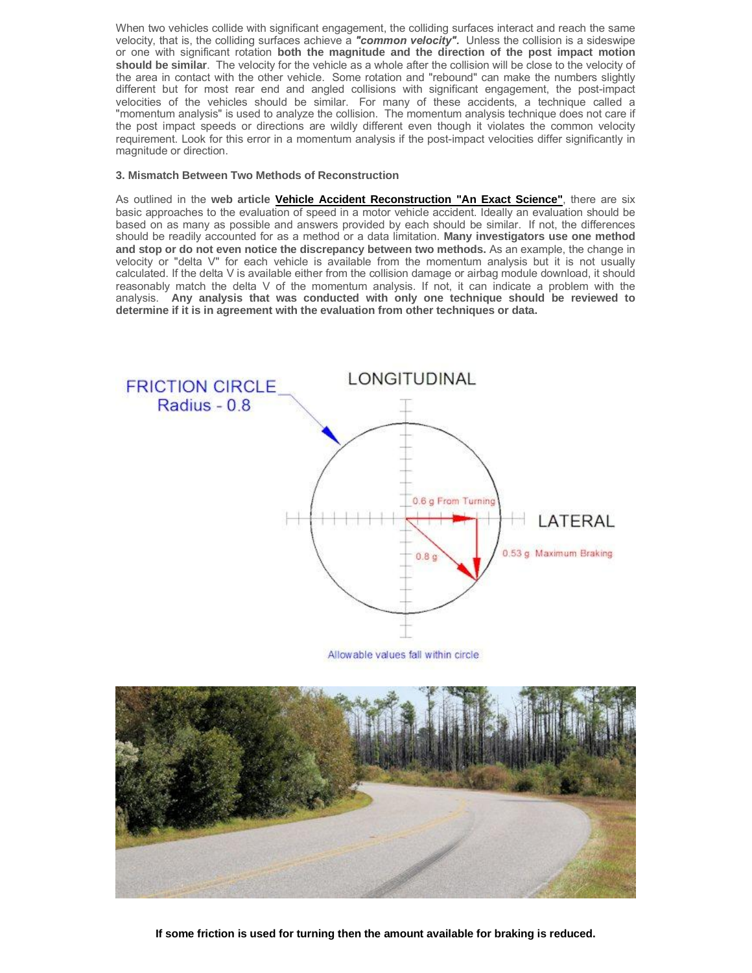When two vehicles collide with significant engagement, the colliding surfaces interact and reach the same velocity, that is, the colliding surfaces achieve a *"common velocity".* Unless the collision is a sideswipe or one with significant rotation **both the magnitude and the direction of the post impact motion should be similar**. The velocity for the vehicle as a whole after the collision will be close to the velocity of the area in contact with the other vehicle. Some rotation and "rebound" can make the numbers slightly different but for most rear end and angled collisions with significant engagement, the post-impact velocities of the vehicles should be similar. For many of these accidents, a technique called a "momentum analysis" is used to analyze the collision. The momentum analysis technique does not care if the post impact speeds or directions are wildly different even though it violates the common velocity requirement. Look for this error in a momentum analysis if the post-impact velocities differ significantly in magnitude or direction.

#### **3. Mismatch Between Two Methods of Reconstruction**

As outlined in the **web article Vehicle Accident Reconstruction "An Exact Science"**, there are six basic approaches to the evaluation of speed in a motor vehicle accident. Ideally an evaluation should be based on as many as possible and answers provided by each should be similar. If not, the differences should be readily accounted for as a method or a data limitation. **Many investigators use one method and stop or do not even notice the discrepancy between two methods.** As an example, the change in velocity or "delta V" for each vehicle is available from the momentum analysis but it is not usually calculated. If the delta V is available either from the collision damage or airbag module download, it should reasonably match the delta V of the momentum analysis. If not, it can indicate a problem with the analysis. **Any analysis that was conducted with only one technique should be reviewed to determine if it is in agreement with the evaluation from other techniques or data.** 



Allowable values fall within circle



**If some friction is used for turning then the amount available for braking is reduced.**